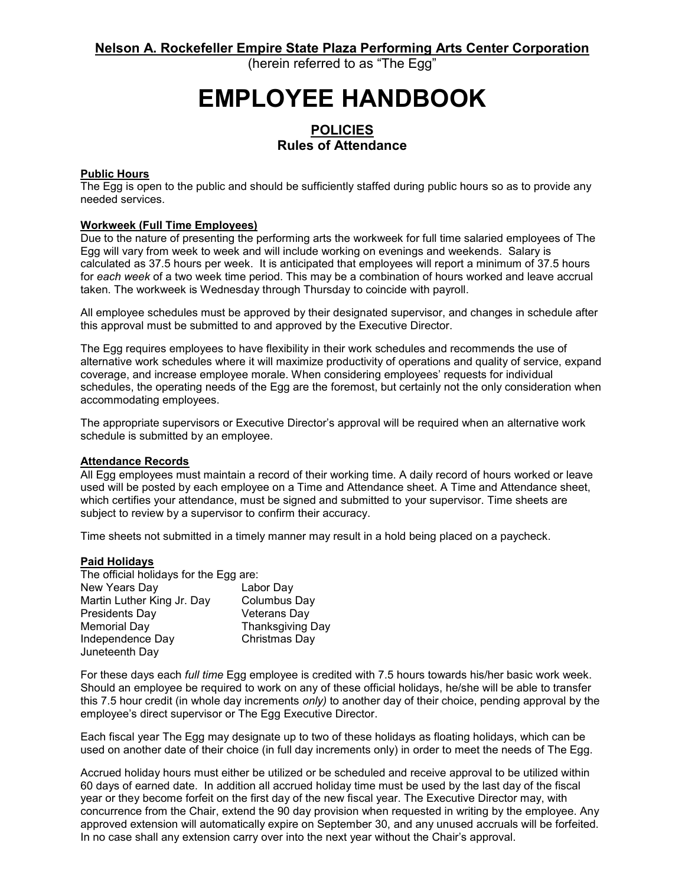(herein referred to as "The Egg"

# **EMPLOYEE HANDBOOK**

# **POLICIES Rules of Attendance**

## **Public Hours**

The Egg is open to the public and should be sufficiently staffed during public hours so as to provide any needed services.

## **Workweek (Full Time Employees)**

Due to the nature of presenting the performing arts the workweek for full time salaried employees of The Egg will vary from week to week and will include working on evenings and weekends. Salary is calculated as 37.5 hours per week. It is anticipated that employees will report a minimum of 37.5 hours for *each week* of a two week time period. This may be a combination of hours worked and leave accrual taken. The workweek is Wednesday through Thursday to coincide with payroll.

All employee schedules must be approved by their designated supervisor, and changes in schedule after this approval must be submitted to and approved by the Executive Director.

The Egg requires employees to have flexibility in their work schedules and recommends the use of alternative work schedules where it will maximize productivity of operations and quality of service, expand coverage, and increase employee morale. When considering employees' requests for individual schedules, the operating needs of the Egg are the foremost, but certainly not the only consideration when accommodating employees.

The appropriate supervisors or Executive Director's approval will be required when an alternative work schedule is submitted by an employee.

### **Attendance Records**

All Egg employees must maintain a record of their working time. A daily record of hours worked or leave used will be posted by each employee on a Time and Attendance sheet. A Time and Attendance sheet, which certifies your attendance, must be signed and submitted to your supervisor. Time sheets are subject to review by a supervisor to confirm their accuracy.

Time sheets not submitted in a timely manner may result in a hold being placed on a paycheck.

### **Paid Holidays**

| The official holidays for the Egg are: |                  |
|----------------------------------------|------------------|
| New Years Day                          | Labor Day        |
| Martin Luther King Jr. Day             | Columbus Day     |
| Presidents Day                         | Veterans Day     |
| <b>Memorial Day</b>                    | Thanksgiving Day |
| Independence Day                       | Christmas Day    |
| Juneteenth Day                         |                  |

For these days each *full time* Egg employee is credited with 7.5 hours towards his/her basic work week. Should an employee be required to work on any of these official holidays, he/she will be able to transfer this 7.5 hour credit (in whole day increments *only)* to another day of their choice, pending approval by the employee's direct supervisor or The Egg Executive Director.

Each fiscal year The Egg may designate up to two of these holidays as floating holidays, which can be used on another date of their choice (in full day increments only) in order to meet the needs of The Egg.

Accrued holiday hours must either be utilized or be scheduled and receive approval to be utilized within 60 days of earned date. In addition all accrued holiday time must be used by the last day of the fiscal year or they become forfeit on the first day of the new fiscal year. The Executive Director may, with concurrence from the Chair, extend the 90 day provision when requested in writing by the employee. Any approved extension will automatically expire on September 30, and any unused accruals will be forfeited. In no case shall any extension carry over into the next year without the Chair's approval.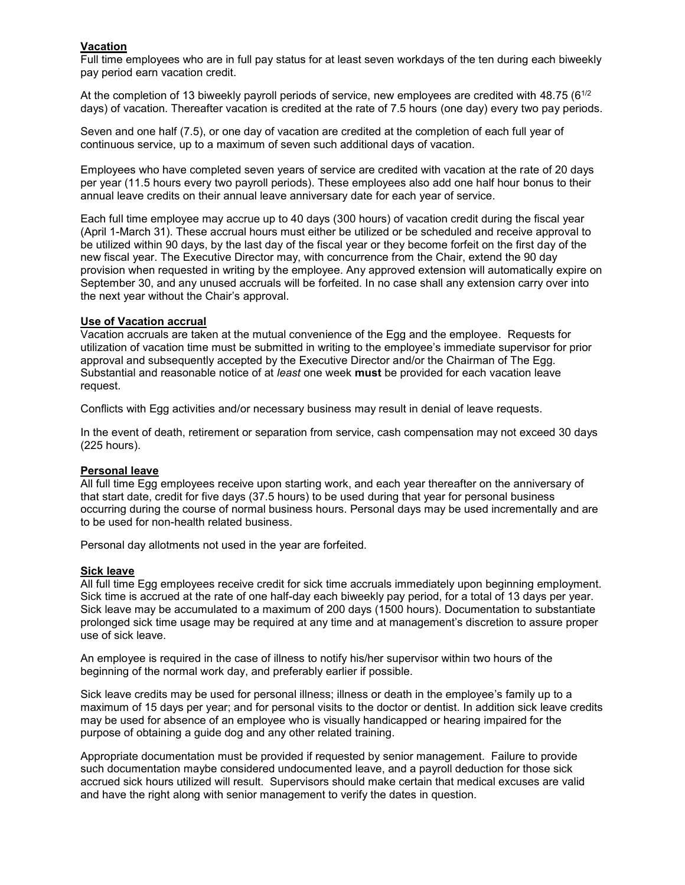## **Vacation**

Full time employees who are in full pay status for at least seven workdays of the ten during each biweekly pay period earn vacation credit.

At the completion of 13 biweekly payroll periods of service, new employees are credited with 48.75 (6<sup>1/2</sup>) days) of vacation. Thereafter vacation is credited at the rate of 7.5 hours (one day) every two pay periods.

Seven and one half (7.5), or one day of vacation are credited at the completion of each full year of continuous service, up to a maximum of seven such additional days of vacation.

Employees who have completed seven years of service are credited with vacation at the rate of 20 days per year (11.5 hours every two payroll periods). These employees also add one half hour bonus to their annual leave credits on their annual leave anniversary date for each year of service.

Each full time employee may accrue up to 40 days (300 hours) of vacation credit during the fiscal year (April 1-March 31). These accrual hours must either be utilized or be scheduled and receive approval to be utilized within 90 days, by the last day of the fiscal year or they become forfeit on the first day of the new fiscal year. The Executive Director may, with concurrence from the Chair, extend the 90 day provision when requested in writing by the employee. Any approved extension will automatically expire on September 30, and any unused accruals will be forfeited. In no case shall any extension carry over into the next year without the Chair's approval.

### **Use of Vacation accrual**

Vacation accruals are taken at the mutual convenience of the Egg and the employee. Requests for utilization of vacation time must be submitted in writing to the employee's immediate supervisor for prior approval and subsequently accepted by the Executive Director and/or the Chairman of The Egg. Substantial and reasonable notice of at *least* one week **must** be provided for each vacation leave request.

Conflicts with Egg activities and/or necessary business may result in denial of leave requests.

In the event of death, retirement or separation from service, cash compensation may not exceed 30 days (225 hours).

### **Personal leave**

All full time Egg employees receive upon starting work, and each year thereafter on the anniversary of that start date, credit for five days (37.5 hours) to be used during that year for personal business occurring during the course of normal business hours. Personal days may be used incrementally and are to be used for non-health related business.

Personal day allotments not used in the year are forfeited.

### **Sick leave**

All full time Egg employees receive credit for sick time accruals immediately upon beginning employment. Sick time is accrued at the rate of one half-day each biweekly pay period, for a total of 13 days per year. Sick leave may be accumulated to a maximum of 200 days (1500 hours). Documentation to substantiate prolonged sick time usage may be required at any time and at management's discretion to assure proper use of sick leave.

An employee is required in the case of illness to notify his/her supervisor within two hours of the beginning of the normal work day, and preferably earlier if possible.

Sick leave credits may be used for personal illness; illness or death in the employee's family up to a maximum of 15 days per year; and for personal visits to the doctor or dentist. In addition sick leave credits may be used for absence of an employee who is visually handicapped or hearing impaired for the purpose of obtaining a guide dog and any other related training.

Appropriate documentation must be provided if requested by senior management. Failure to provide such documentation maybe considered undocumented leave, and a payroll deduction for those sick accrued sick hours utilized will result. Supervisors should make certain that medical excuses are valid and have the right along with senior management to verify the dates in question.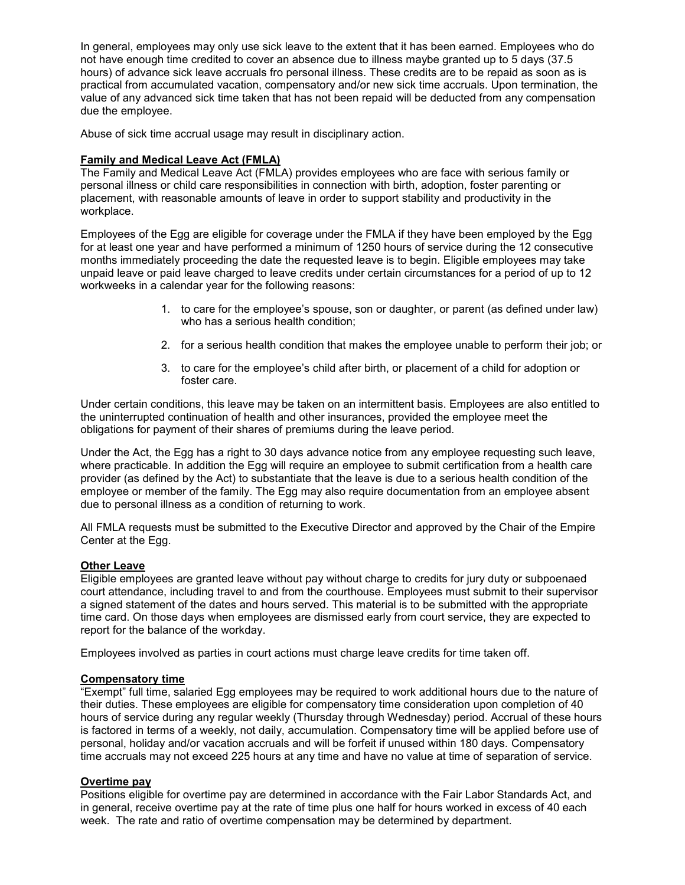In general, employees may only use sick leave to the extent that it has been earned. Employees who do not have enough time credited to cover an absence due to illness maybe granted up to 5 days (37.5 hours) of advance sick leave accruals fro personal illness. These credits are to be repaid as soon as is practical from accumulated vacation, compensatory and/or new sick time accruals. Upon termination, the value of any advanced sick time taken that has not been repaid will be deducted from any compensation due the employee.

Abuse of sick time accrual usage may result in disciplinary action.

## **Family and Medical Leave Act (FMLA)**

The Family and Medical Leave Act (FMLA) provides employees who are face with serious family or personal illness or child care responsibilities in connection with birth, adoption, foster parenting or placement, with reasonable amounts of leave in order to support stability and productivity in the workplace.

Employees of the Egg are eligible for coverage under the FMLA if they have been employed by the Egg for at least one year and have performed a minimum of 1250 hours of service during the 12 consecutive months immediately proceeding the date the requested leave is to begin. Eligible employees may take unpaid leave or paid leave charged to leave credits under certain circumstances for a period of up to 12 workweeks in a calendar year for the following reasons:

- 1. to care for the employee's spouse, son or daughter, or parent (as defined under law) who has a serious health condition;
- 2. for a serious health condition that makes the employee unable to perform their job; or
- 3. to care for the employee's child after birth, or placement of a child for adoption or foster care.

Under certain conditions, this leave may be taken on an intermittent basis. Employees are also entitled to the uninterrupted continuation of health and other insurances, provided the employee meet the obligations for payment of their shares of premiums during the leave period.

Under the Act, the Egg has a right to 30 days advance notice from any employee requesting such leave, where practicable. In addition the Egg will require an employee to submit certification from a health care provider (as defined by the Act) to substantiate that the leave is due to a serious health condition of the employee or member of the family. The Egg may also require documentation from an employee absent due to personal illness as a condition of returning to work.

All FMLA requests must be submitted to the Executive Director and approved by the Chair of the Empire Center at the Egg.

### **Other Leave**

Eligible employees are granted leave without pay without charge to credits for jury duty or subpoenaed court attendance, including travel to and from the courthouse. Employees must submit to their supervisor a signed statement of the dates and hours served. This material is to be submitted with the appropriate time card. On those days when employees are dismissed early from court service, they are expected to report for the balance of the workday.

Employees involved as parties in court actions must charge leave credits for time taken off.

# **Compensatory time**

"Exempt" full time, salaried Egg employees may be required to work additional hours due to the nature of their duties. These employees are eligible for compensatory time consideration upon completion of 40 hours of service during any regular weekly (Thursday through Wednesday) period. Accrual of these hours is factored in terms of a weekly, not daily, accumulation. Compensatory time will be applied before use of personal, holiday and/or vacation accruals and will be forfeit if unused within 180 days. Compensatory time accruals may not exceed 225 hours at any time and have no value at time of separation of service.

### **Overtime pay**

Positions eligible for overtime pay are determined in accordance with the Fair Labor Standards Act, and in general, receive overtime pay at the rate of time plus one half for hours worked in excess of 40 each week. The rate and ratio of overtime compensation may be determined by department.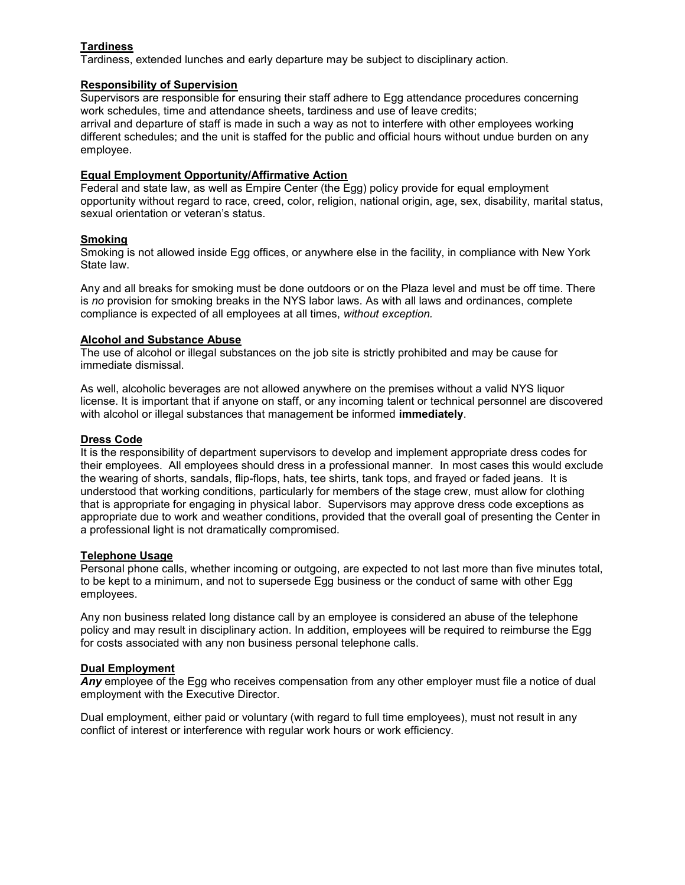# **Tardiness**

Tardiness, extended lunches and early departure may be subject to disciplinary action.

## **Responsibility of Supervision**

Supervisors are responsible for ensuring their staff adhere to Egg attendance procedures concerning work schedules, time and attendance sheets, tardiness and use of leave credits; arrival and departure of staff is made in such a way as not to interfere with other employees working different schedules; and the unit is staffed for the public and official hours without undue burden on any employee.

## **Equal Employment Opportunity/Affirmative Action**

Federal and state law, as well as Empire Center (the Egg) policy provide for equal employment opportunity without regard to race, creed, color, religion, national origin, age, sex, disability, marital status, sexual orientation or veteran's status.

## **Smoking**

Smoking is not allowed inside Egg offices, or anywhere else in the facility, in compliance with New York State law.

Any and all breaks for smoking must be done outdoors or on the Plaza level and must be off time. There is *no* provision for smoking breaks in the NYS labor laws. As with all laws and ordinances, complete compliance is expected of all employees at all times, *without exception.*

## **Alcohol and Substance Abuse**

The use of alcohol or illegal substances on the job site is strictly prohibited and may be cause for immediate dismissal.

As well, alcoholic beverages are not allowed anywhere on the premises without a valid NYS liquor license. It is important that if anyone on staff, or any incoming talent or technical personnel are discovered with alcohol or illegal substances that management be informed **immediately**.

## **Dress Code**

It is the responsibility of department supervisors to develop and implement appropriate dress codes for their employees. All employees should dress in a professional manner. In most cases this would exclude the wearing of shorts, sandals, flip-flops, hats, tee shirts, tank tops, and frayed or faded jeans. It is understood that working conditions, particularly for members of the stage crew, must allow for clothing that is appropriate for engaging in physical labor. Supervisors may approve dress code exceptions as appropriate due to work and weather conditions, provided that the overall goal of presenting the Center in a professional light is not dramatically compromised.

## **Telephone Usage**

Personal phone calls, whether incoming or outgoing, are expected to not last more than five minutes total, to be kept to a minimum, and not to supersede Egg business or the conduct of same with other Egg employees.

Any non business related long distance call by an employee is considered an abuse of the telephone policy and may result in disciplinary action. In addition, employees will be required to reimburse the Egg for costs associated with any non business personal telephone calls.

# **Dual Employment**

Any employee of the Egg who receives compensation from any other employer must file a notice of dual employment with the Executive Director.

Dual employment, either paid or voluntary (with regard to full time employees), must not result in any conflict of interest or interference with regular work hours or work efficiency.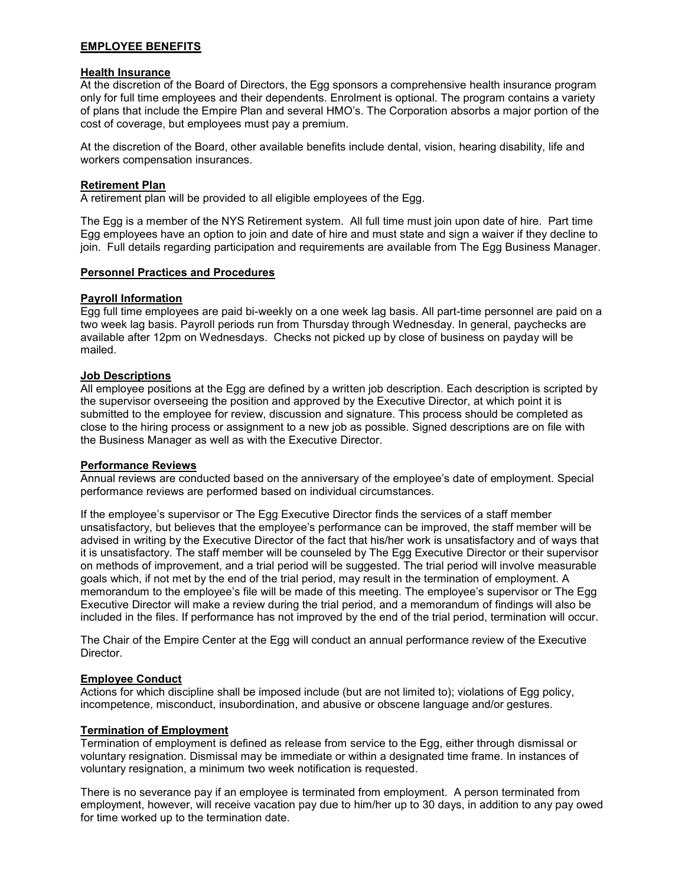## **EMPLOYEE BENEFITS**

#### **Health Insurance**

At the discretion of the Board of Directors, the Egg sponsors a comprehensive health insurance program only for full time employees and their dependents. Enrolment is optional. The program contains a variety of plans that include the Empire Plan and several HMO's. The Corporation absorbs a major portion of the cost of coverage, but employees must pay a premium.

At the discretion of the Board, other available benefits include dental, vision, hearing disability, life and workers compensation insurances.

#### **Retirement Plan**

A retirement plan will be provided to all eligible employees of the Egg.

The Egg is a member of the NYS Retirement system. All full time must join upon date of hire. Part time Egg employees have an option to join and date of hire and must state and sign a waiver if they decline to join. Full details regarding participation and requirements are available from The Egg Business Manager.

#### **Personnel Practices and Procedures**

### **Payroll Information**

Egg full time employees are paid bi-weekly on a one week lag basis. All part-time personnel are paid on a two week lag basis. Payroll periods run from Thursday through Wednesday. In general, paychecks are available after 12pm on Wednesdays. Checks not picked up by close of business on payday will be mailed.

#### **Job Descriptions**

All employee positions at the Egg are defined by a written job description. Each description is scripted by the supervisor overseeing the position and approved by the Executive Director, at which point it is submitted to the employee for review, discussion and signature. This process should be completed as close to the hiring process or assignment to a new job as possible. Signed descriptions are on file with the Business Manager as well as with the Executive Director.

#### **Performance Reviews**

Annual reviews are conducted based on the anniversary of the employee's date of employment. Special performance reviews are performed based on individual circumstances.

If the employee's supervisor or The Egg Executive Director finds the services of a staff member unsatisfactory, but believes that the employee's performance can be improved, the staff member will be advised in writing by the Executive Director of the fact that his/her work is unsatisfactory and of ways that it is unsatisfactory. The staff member will be counseled by The Egg Executive Director or their supervisor on methods of improvement, and a trial period will be suggested. The trial period will involve measurable goals which, if not met by the end of the trial period, may result in the termination of employment. A memorandum to the employee's file will be made of this meeting. The employee's supervisor or The Egg Executive Director will make a review during the trial period, and a memorandum of findings will also be included in the files. If performance has not improved by the end of the trial period, termination will occur.

The Chair of the Empire Center at the Egg will conduct an annual performance review of the Executive Director.

## **Employee Conduct**

Actions for which discipline shall be imposed include (but are not limited to); violations of Egg policy, incompetence, misconduct, insubordination, and abusive or obscene language and/or gestures.

#### **Termination of Employment**

Termination of employment is defined as release from service to the Egg, either through dismissal or voluntary resignation. Dismissal may be immediate or within a designated time frame. In instances of voluntary resignation, a minimum two week notification is requested.

There is no severance pay if an employee is terminated from employment. A person terminated from employment, however, will receive vacation pay due to him/her up to 30 days, in addition to any pay owed for time worked up to the termination date.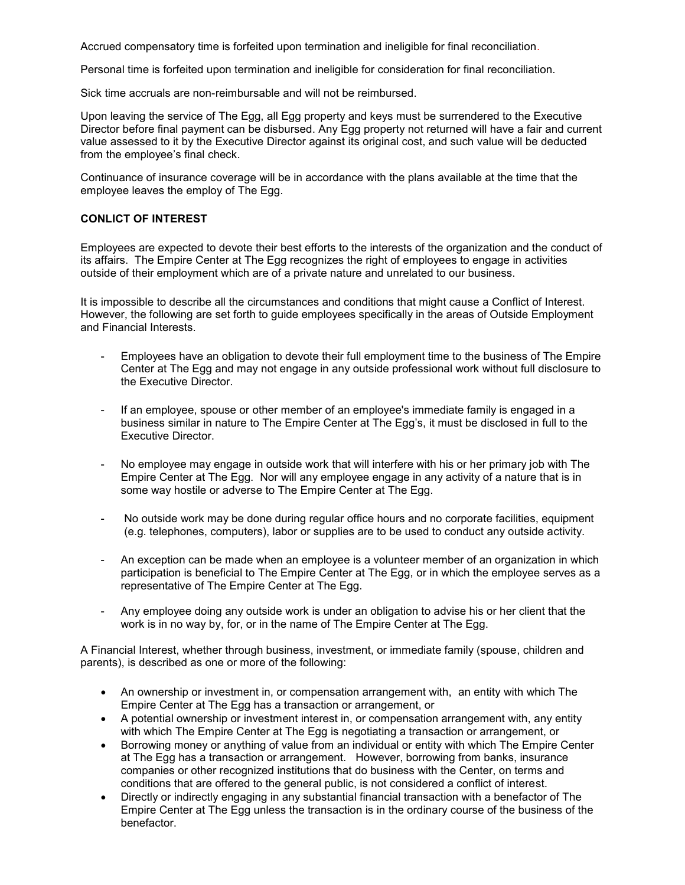Accrued compensatory time is forfeited upon termination and ineligible for final reconciliation.

Personal time is forfeited upon termination and ineligible for consideration for final reconciliation.

Sick time accruals are non-reimbursable and will not be reimbursed.

Upon leaving the service of The Egg, all Egg property and keys must be surrendered to the Executive Director before final payment can be disbursed. Any Egg property not returned will have a fair and current value assessed to it by the Executive Director against its original cost, and such value will be deducted from the employee's final check.

Continuance of insurance coverage will be in accordance with the plans available at the time that the employee leaves the employ of The Egg.

#### **CONLICT OF INTEREST**

Employees are expected to devote their best efforts to the interests of the organization and the conduct of its affairs. The Empire Center at The Egg recognizes the right of employees to engage in activities outside of their employment which are of a private nature and unrelated to our business.

It is impossible to describe all the circumstances and conditions that might cause a Conflict of Interest. However, the following are set forth to guide employees specifically in the areas of Outside Employment and Financial Interests.

- Employees have an obligation to devote their full employment time to the business of The Empire Center at The Egg and may not engage in any outside professional work without full disclosure to the Executive Director.
- If an employee, spouse or other member of an employee's immediate family is engaged in a business similar in nature to The Empire Center at The Egg's, it must be disclosed in full to the Executive Director.
- No employee may engage in outside work that will interfere with his or her primary job with The Empire Center at The Egg. Nor will any employee engage in any activity of a nature that is in some way hostile or adverse to The Empire Center at The Egg.
- No outside work may be done during regular office hours and no corporate facilities, equipment (e.g. telephones, computers), labor or supplies are to be used to conduct any outside activity.
- An exception can be made when an employee is a volunteer member of an organization in which participation is beneficial to The Empire Center at The Egg, or in which the employee serves as a representative of The Empire Center at The Egg.
- Any employee doing any outside work is under an obligation to advise his or her client that the work is in no way by, for, or in the name of The Empire Center at The Egg.

A Financial Interest, whether through business, investment, or immediate family (spouse, children and parents), is described as one or more of the following:

- An ownership or investment in, or compensation arrangement with, an entity with which The Empire Center at The Egg has a transaction or arrangement, or
- A potential ownership or investment interest in, or compensation arrangement with, any entity with which The Empire Center at The Egg is negotiating a transaction or arrangement, or
- Borrowing money or anything of value from an individual or entity with which The Empire Center at The Egg has a transaction or arrangement. However, borrowing from banks, insurance companies or other recognized institutions that do business with the Center, on terms and conditions that are offered to the general public, is not considered a conflict of interest.
- Directly or indirectly engaging in any substantial financial transaction with a benefactor of The Empire Center at The Egg unless the transaction is in the ordinary course of the business of the benefactor.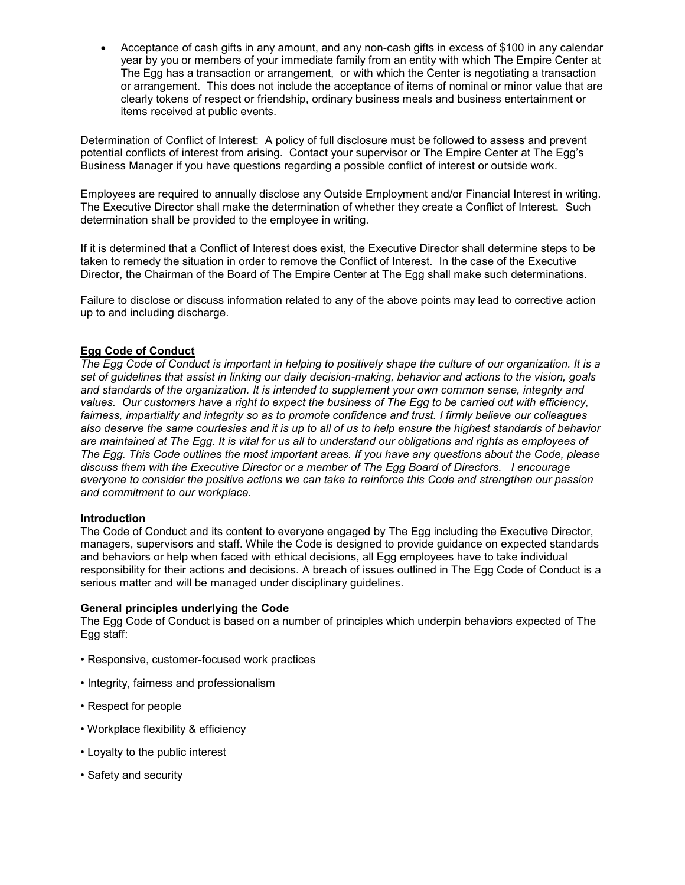Acceptance of cash gifts in any amount, and any non-cash gifts in excess of \$100 in any calendar year by you or members of your immediate family from an entity with which The Empire Center at The Egg has a transaction or arrangement, or with which the Center is negotiating a transaction or arrangement. This does not include the acceptance of items of nominal or minor value that are clearly tokens of respect or friendship, ordinary business meals and business entertainment or items received at public events.

Determination of Conflict of Interest: A policy of full disclosure must be followed to assess and prevent potential conflicts of interest from arising. Contact your supervisor or The Empire Center at The Egg's Business Manager if you have questions regarding a possible conflict of interest or outside work.

Employees are required to annually disclose any Outside Employment and/or Financial Interest in writing. The Executive Director shall make the determination of whether they create a Conflict of Interest. Such determination shall be provided to the employee in writing.

If it is determined that a Conflict of Interest does exist, the Executive Director shall determine steps to be taken to remedy the situation in order to remove the Conflict of Interest. In the case of the Executive Director, the Chairman of the Board of The Empire Center at The Egg shall make such determinations.

Failure to disclose or discuss information related to any of the above points may lead to corrective action up to and including discharge.

## **Egg Code of Conduct**

*The Egg Code of Conduct is important in helping to positively shape the culture of our organization. It is a set of guidelines that assist in linking our daily decision-making, behavior and actions to the vision, goals and standards of the organization. It is intended to supplement your own common sense, integrity and values. Our customers have a right to expect the business of The Egg to be carried out with efficiency, fairness, impartiality and integrity so as to promote confidence and trust. I firmly believe our colleagues also deserve the same courtesies and it is up to all of us to help ensure the highest standards of behavior are maintained at The Egg. It is vital for us all to understand our obligations and rights as employees of The Egg. This Code outlines the most important areas. If you have any questions about the Code, please discuss them with the Executive Director or a member of The Egg Board of Directors. I encourage everyone to consider the positive actions we can take to reinforce this Code and strengthen our passion and commitment to our workplace.*

### **Introduction**

The Code of Conduct and its content to everyone engaged by The Egg including the Executive Director, managers, supervisors and staff. While the Code is designed to provide guidance on expected standards and behaviors or help when faced with ethical decisions, all Egg employees have to take individual responsibility for their actions and decisions. A breach of issues outlined in The Egg Code of Conduct is a serious matter and will be managed under disciplinary guidelines.

### **General principles underlying the Code**

The Egg Code of Conduct is based on a number of principles which underpin behaviors expected of The Egg staff:

- Responsive, customer-focused work practices
- Integrity, fairness and professionalism
- Respect for people
- Workplace flexibility & efficiency
- Loyalty to the public interest
- Safety and security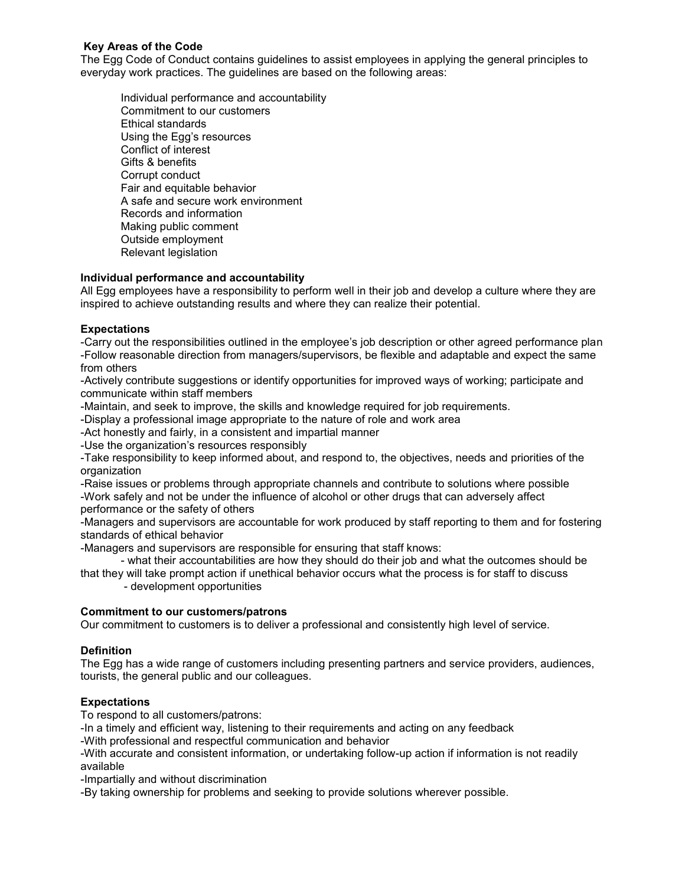## **Key Areas of the Code**

The Egg Code of Conduct contains guidelines to assist employees in applying the general principles to everyday work practices. The guidelines are based on the following areas:

Individual performance and accountability Commitment to our customers Ethical standards Using the Egg's resources Conflict of interest Gifts & benefits Corrupt conduct Fair and equitable behavior A safe and secure work environment Records and information Making public comment Outside employment Relevant legislation

## **Individual performance and accountability**

All Egg employees have a responsibility to perform well in their job and develop a culture where they are inspired to achieve outstanding results and where they can realize their potential.

### **Expectations**

-Carry out the responsibilities outlined in the employee's job description or other agreed performance plan -Follow reasonable direction from managers/supervisors, be flexible and adaptable and expect the same from others

-Actively contribute suggestions or identify opportunities for improved ways of working; participate and communicate within staff members

-Maintain, and seek to improve, the skills and knowledge required for job requirements.

-Display a professional image appropriate to the nature of role and work area

-Act honestly and fairly, in a consistent and impartial manner

-Use the organization's resources responsibly

-Take responsibility to keep informed about, and respond to, the objectives, needs and priorities of the organization

-Raise issues or problems through appropriate channels and contribute to solutions where possible -Work safely and not be under the influence of alcohol or other drugs that can adversely affect performance or the safety of others

-Managers and supervisors are accountable for work produced by staff reporting to them and for fostering standards of ethical behavior

-Managers and supervisors are responsible for ensuring that staff knows:

- what their accountabilities are how they should do their job and what the outcomes should be that they will take prompt action if unethical behavior occurs what the process is for staff to discuss

- development opportunities

### **Commitment to our customers/patrons**

Our commitment to customers is to deliver a professional and consistently high level of service.

### **Definition**

The Egg has a wide range of customers including presenting partners and service providers, audiences, tourists, the general public and our colleagues.

### **Expectations**

To respond to all customers/patrons:

-In a timely and efficient way, listening to their requirements and acting on any feedback

-With professional and respectful communication and behavior

-With accurate and consistent information, or undertaking follow-up action if information is not readily available

-Impartially and without discrimination

-By taking ownership for problems and seeking to provide solutions wherever possible.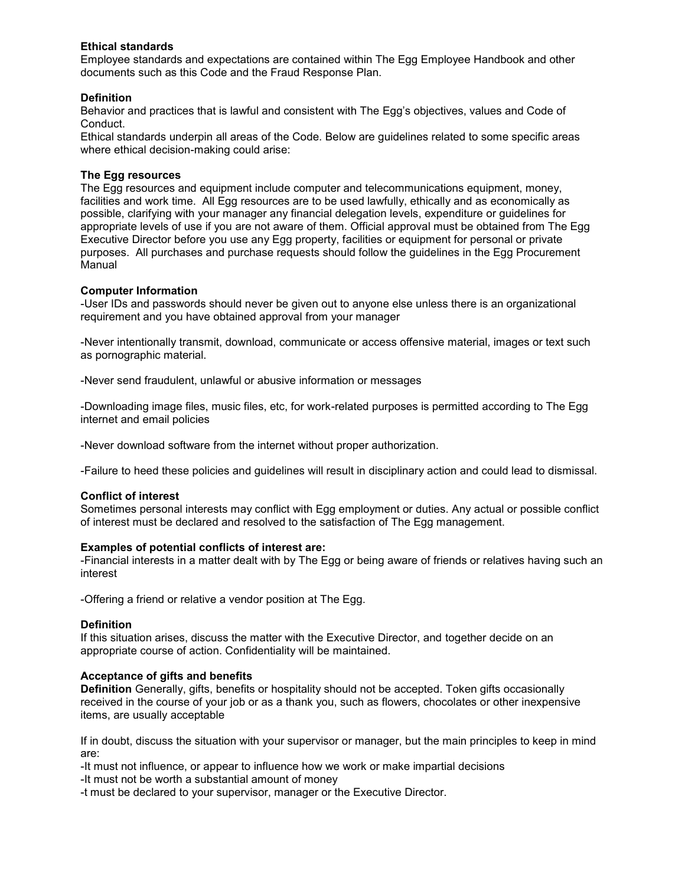## **Ethical standards**

Employee standards and expectations are contained within The Egg Employee Handbook and other documents such as this Code and the Fraud Response Plan.

## **Definition**

Behavior and practices that is lawful and consistent with The Egg's objectives, values and Code of Conduct.

Ethical standards underpin all areas of the Code. Below are guidelines related to some specific areas where ethical decision-making could arise:

## **The Egg resources**

The Egg resources and equipment include computer and telecommunications equipment, money, facilities and work time. All Egg resources are to be used lawfully, ethically and as economically as possible, clarifying with your manager any financial delegation levels, expenditure or guidelines for appropriate levels of use if you are not aware of them. Official approval must be obtained from The Egg Executive Director before you use any Egg property, facilities or equipment for personal or private purposes. All purchases and purchase requests should follow the guidelines in the Egg Procurement Manual

## **Computer Information**

-User IDs and passwords should never be given out to anyone else unless there is an organizational requirement and you have obtained approval from your manager

-Never intentionally transmit, download, communicate or access offensive material, images or text such as pornographic material.

-Never send fraudulent, unlawful or abusive information or messages

-Downloading image files, music files, etc, for work-related purposes is permitted according to The Egg internet and email policies

-Never download software from the internet without proper authorization.

-Failure to heed these policies and guidelines will result in disciplinary action and could lead to dismissal.

### **Conflict of interest**

Sometimes personal interests may conflict with Egg employment or duties. Any actual or possible conflict of interest must be declared and resolved to the satisfaction of The Egg management.

### **Examples of potential conflicts of interest are:**

-Financial interests in a matter dealt with by The Egg or being aware of friends or relatives having such an interest

-Offering a friend or relative a vendor position at The Egg.

### **Definition**

If this situation arises, discuss the matter with the Executive Director, and together decide on an appropriate course of action. Confidentiality will be maintained.

### **Acceptance of gifts and benefits**

**Definition** Generally, gifts, benefits or hospitality should not be accepted. Token gifts occasionally received in the course of your job or as a thank you, such as flowers, chocolates or other inexpensive items, are usually acceptable

If in doubt, discuss the situation with your supervisor or manager, but the main principles to keep in mind are:

-It must not influence, or appear to influence how we work or make impartial decisions

-It must not be worth a substantial amount of money

-t must be declared to your supervisor, manager or the Executive Director.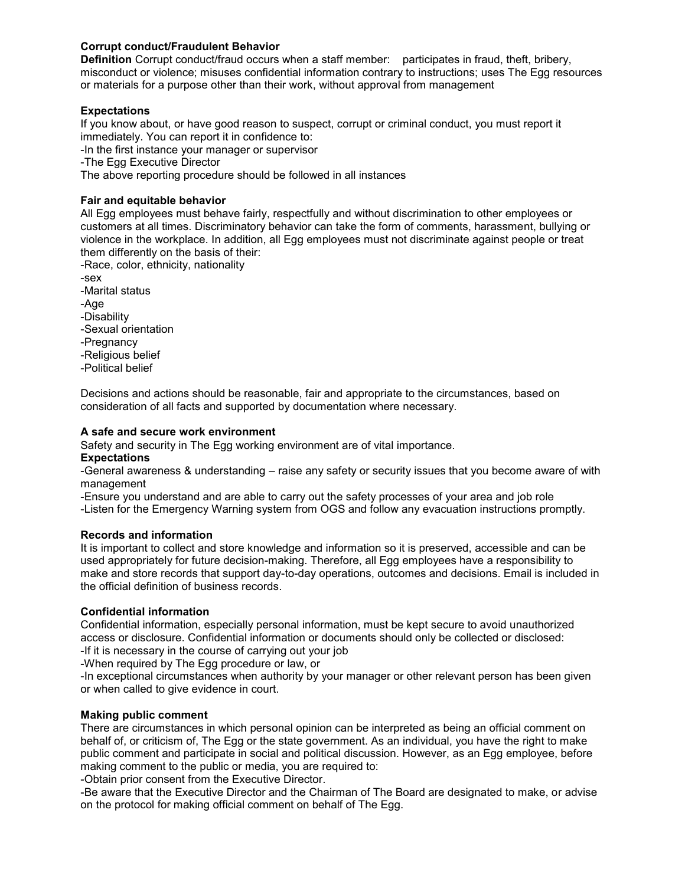## **Corrupt conduct/Fraudulent Behavior**

**Definition** Corrupt conduct/fraud occurs when a staff member: participates in fraud, theft, bribery, misconduct or violence; misuses confidential information contrary to instructions; uses The Egg resources or materials for a purpose other than their work, without approval from management

## **Expectations**

If you know about, or have good reason to suspect, corrupt or criminal conduct, you must report it immediately. You can report it in confidence to:

-In the first instance your manager or supervisor

-The Egg Executive Director

The above reporting procedure should be followed in all instances

## **Fair and equitable behavior**

All Egg employees must behave fairly, respectfully and without discrimination to other employees or customers at all times. Discriminatory behavior can take the form of comments, harassment, bullying or violence in the workplace. In addition, all Egg employees must not discriminate against people or treat them differently on the basis of their:

-Race, color, ethnicity, nationality

-sex

- -Marital status
- -Age
- -Disability
- -Sexual orientation
- -Pregnancy
- -Religious belief
- -Political belief

Decisions and actions should be reasonable, fair and appropriate to the circumstances, based on consideration of all facts and supported by documentation where necessary.

### **A safe and secure work environment**

Safety and security in The Egg working environment are of vital importance.

### **Expectations**

-General awareness & understanding – raise any safety or security issues that you become aware of with management

-Ensure you understand and are able to carry out the safety processes of your area and job role

-Listen for the Emergency Warning system from OGS and follow any evacuation instructions promptly.

### **Records and information**

It is important to collect and store knowledge and information so it is preserved, accessible and can be used appropriately for future decision-making. Therefore, all Egg employees have a responsibility to make and store records that support day-to-day operations, outcomes and decisions. Email is included in the official definition of business records.

### **Confidential information**

Confidential information, especially personal information, must be kept secure to avoid unauthorized access or disclosure. Confidential information or documents should only be collected or disclosed: -If it is necessary in the course of carrying out your job

-When required by The Egg procedure or law, or

-In exceptional circumstances when authority by your manager or other relevant person has been given or when called to give evidence in court.

## **Making public comment**

There are circumstances in which personal opinion can be interpreted as being an official comment on behalf of, or criticism of, The Egg or the state government. As an individual, you have the right to make public comment and participate in social and political discussion. However, as an Egg employee, before making comment to the public or media, you are required to:

-Obtain prior consent from the Executive Director.

-Be aware that the Executive Director and the Chairman of The Board are designated to make, or advise on the protocol for making official comment on behalf of The Egg.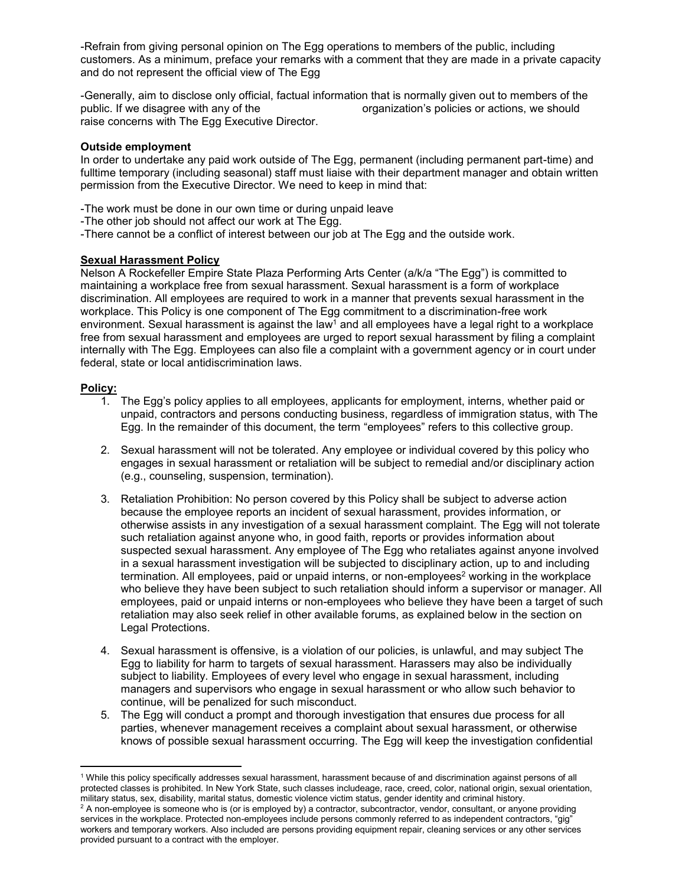-Refrain from giving personal opinion on The Egg operations to members of the public, including customers. As a minimum, preface your remarks with a comment that they are made in a private capacity and do not represent the official view of The Egg

-Generally, aim to disclose only official, factual information that is normally given out to members of the public. If we disagree with any of the organization's policies or actions, we should raise concerns with The Egg Executive Director.

## **Outside employment**

In order to undertake any paid work outside of The Egg, permanent (including permanent part-time) and fulltime temporary (including seasonal) staff must liaise with their department manager and obtain written permission from the Executive Director. We need to keep in mind that:

-The work must be done in our own time or during unpaid leave

-The other job should not affect our work at The Egg.

-There cannot be a conflict of interest between our job at The Egg and the outside work.

## **Sexual Harassment Policy**

Nelson A Rockefeller Empire State Plaza Performing Arts Center (a/k/a "The Egg") is committed to maintaining a workplace free from sexual harassment. Sexual harassment is a form of workplace discrimination. All employees are required to work in a manner that prevents sexual harassment in the workplace. This Policy is one component of The Egg commitment to a discrimination-free work environment. Sexual harassment is against the law<sup>1</sup> and all employees have a legal right to a workplace free from sexual harassment and employees are urged to report sexual harassment by filing a complaint internally with The Egg. Employees can also file a complaint with a government agency or in court under federal, state or local antidiscrimination laws.

# **Policy:**

 $\overline{a}$ 

- 1. The Egg's policy applies to all employees, applicants for employment, interns, whether paid or unpaid, contractors and persons conducting business, regardless of immigration status, with The Egg. In the remainder of this document, the term "employees" refers to this collective group.
- 2. Sexual harassment will not be tolerated. Any employee or individual covered by this policy who engages in sexual harassment or retaliation will be subject to remedial and/or disciplinary action (e.g., counseling, suspension, termination).
- 3. Retaliation Prohibition: No person covered by this Policy shall be subject to adverse action because the employee reports an incident of sexual harassment, provides information, or otherwise assists in any investigation of a sexual harassment complaint. The Egg will not tolerate such retaliation against anyone who, in good faith, reports or provides information about suspected sexual harassment. Any employee of The Egg who retaliates against anyone involved in a sexual harassment investigation will be subjected to disciplinary action, up to and including termination. All employees, paid or unpaid interns, or non-employees<sup>2</sup> working in the workplace who believe they have been subject to such retaliation should inform a supervisor or manager. All employees, paid or unpaid interns or non-employees who believe they have been a target of such retaliation may also seek relief in other available forums, as explained below in the section on Legal Protections.
- 4. Sexual harassment is offensive, is a violation of our policies, is unlawful, and may subject The Egg to liability for harm to targets of sexual harassment. Harassers may also be individually subject to liability. Employees of every level who engage in sexual harassment, including managers and supervisors who engage in sexual harassment or who allow such behavior to continue, will be penalized for such misconduct.
- 5. The Egg will conduct a prompt and thorough investigation that ensures due process for all parties, whenever management receives a complaint about sexual harassment, or otherwise knows of possible sexual harassment occurring. The Egg will keep the investigation confidential

<sup>1</sup> While this policy specifically addresses sexual harassment, harassment because of and discrimination against persons of all protected classes is prohibited. In New York State, such classes includeage, race, creed, color, national origin, sexual orientation, military status, sex, disability, marital status, domestic violence victim status, gender identity and criminal history.

 $2$  A non-employee is someone who is (or is employed by) a contractor, subcontractor, vendor, consultant, or anyone providing services in the workplace. Protected non-employees include persons commonly referred to as independent contractors, "gig" workers and temporary workers. Also included are persons providing equipment repair, cleaning services or any other services provided pursuant to a contract with the employer.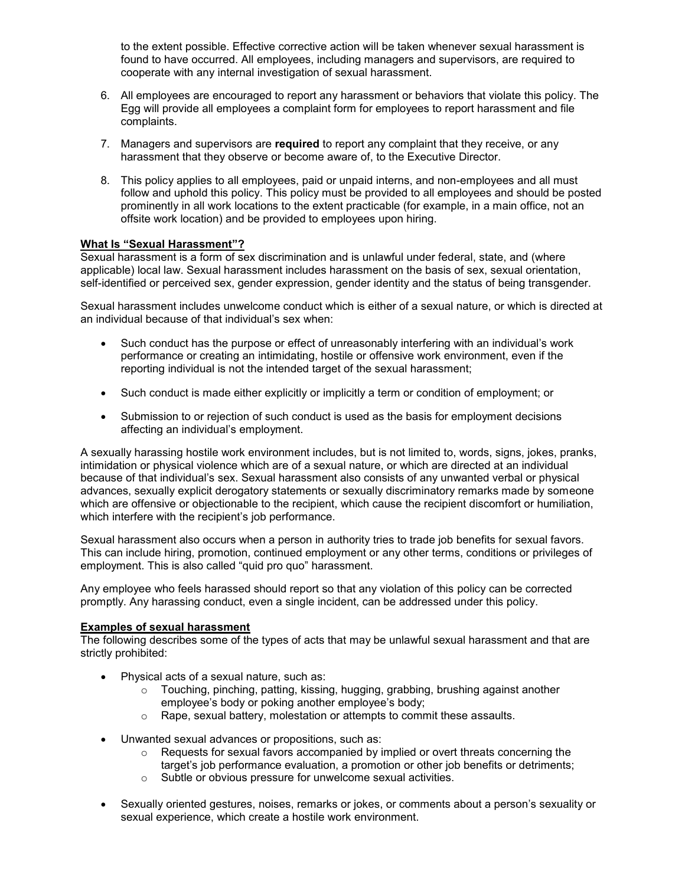to the extent possible. Effective corrective action will be taken whenever sexual harassment is found to have occurred. All employees, including managers and supervisors, are required to cooperate with any internal investigation of sexual harassment.

- 6. All employees are encouraged to report any harassment or behaviors that violate this policy. The Egg will provide all employees a complaint form for employees to report harassment and file complaints.
- 7. Managers and supervisors are **required** to report any complaint that they receive, or any harassment that they observe or become aware of, to the Executive Director.
- 8. This policy applies to all employees, paid or unpaid interns, and non-employees and all must follow and uphold this policy. This policy must be provided to all employees and should be posted prominently in all work locations to the extent practicable (for example, in a main office, not an offsite work location) and be provided to employees upon hiring.

### **What Is "Sexual Harassment"?**

Sexual harassment is a form of sex discrimination and is unlawful under federal, state, and (where applicable) local law. Sexual harassment includes harassment on the basis of sex, sexual orientation, self-identified or perceived sex, gender expression, gender identity and the status of being transgender.

Sexual harassment includes unwelcome conduct which is either of a sexual nature, or which is directed at an individual because of that individual's sex when:

- Such conduct has the purpose or effect of unreasonably interfering with an individual's work performance or creating an intimidating, hostile or offensive work environment, even if the reporting individual is not the intended target of the sexual harassment;
- Such conduct is made either explicitly or implicitly a term or condition of employment; or
- Submission to or rejection of such conduct is used as the basis for employment decisions affecting an individual's employment.

A sexually harassing hostile work environment includes, but is not limited to, words, signs, jokes, pranks, intimidation or physical violence which are of a sexual nature, or which are directed at an individual because of that individual's sex. Sexual harassment also consists of any unwanted verbal or physical advances, sexually explicit derogatory statements or sexually discriminatory remarks made by someone which are offensive or objectionable to the recipient, which cause the recipient discomfort or humiliation, which interfere with the recipient's job performance.

Sexual harassment also occurs when a person in authority tries to trade job benefits for sexual favors. This can include hiring, promotion, continued employment or any other terms, conditions or privileges of employment. This is also called "quid pro quo" harassment.

Any employee who feels harassed should report so that any violation of this policy can be corrected promptly. Any harassing conduct, even a single incident, can be addressed under this policy.

### **Examples of sexual harassment**

The following describes some of the types of acts that may be unlawful sexual harassment and that are strictly prohibited:

- Physical acts of a sexual nature, such as:
	- $\circ$  Touching, pinching, patting, kissing, hugging, grabbing, brushing against another employee's body or poking another employee's body;
	- o Rape, sexual battery, molestation or attempts to commit these assaults.
- Unwanted sexual advances or propositions, such as:
	- $\circ$  Requests for sexual favors accompanied by implied or overt threats concerning the target's job performance evaluation, a promotion or other job benefits or detriments;
	- o Subtle or obvious pressure for unwelcome sexual activities.
- Sexually oriented gestures, noises, remarks or jokes, or comments about a person's sexuality or sexual experience, which create a hostile work environment.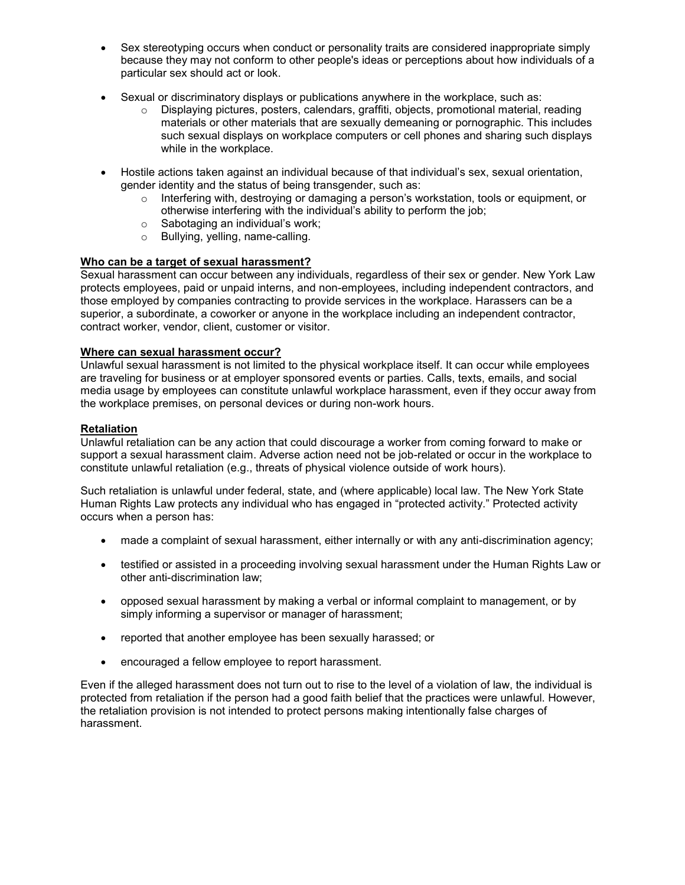- Sex stereotyping occurs when conduct or personality traits are considered inappropriate simply because they may not conform to other people's ideas or perceptions about how individuals of a particular sex should act or look.
- Sexual or discriminatory displays or publications anywhere in the workplace, such as:
	- o Displaying pictures, posters, calendars, graffiti, objects, promotional material, reading materials or other materials that are sexually demeaning or pornographic. This includes such sexual displays on workplace computers or cell phones and sharing such displays while in the workplace.
- Hostile actions taken against an individual because of that individual's sex, sexual orientation, gender identity and the status of being transgender, such as:
	- $\circ$  Interfering with, destroying or damaging a person's workstation, tools or equipment, or otherwise interfering with the individual's ability to perform the job;
	- o Sabotaging an individual's work;
	- o Bullying, yelling, name-calling.

## **Who can be a target of sexual harassment?**

Sexual harassment can occur between any individuals, regardless of their sex or gender. New York Law protects employees, paid or unpaid interns, and non-employees, including independent contractors, and those employed by companies contracting to provide services in the workplace. Harassers can be a superior, a subordinate, a coworker or anyone in the workplace including an independent contractor, contract worker, vendor, client, customer or visitor.

### **Where can sexual harassment occur?**

Unlawful sexual harassment is not limited to the physical workplace itself. It can occur while employees are traveling for business or at employer sponsored events or parties. Calls, texts, emails, and social media usage by employees can constitute unlawful workplace harassment, even if they occur away from the workplace premises, on personal devices or during non-work hours.

### **Retaliation**

Unlawful retaliation can be any action that could discourage a worker from coming forward to make or support a sexual harassment claim. Adverse action need not be job-related or occur in the workplace to constitute unlawful retaliation (e.g., threats of physical violence outside of work hours).

Such retaliation is unlawful under federal, state, and (where applicable) local law. The New York State Human Rights Law protects any individual who has engaged in "protected activity." Protected activity occurs when a person has:

- made a complaint of sexual harassment, either internally or with any anti-discrimination agency;
- testified or assisted in a proceeding involving sexual harassment under the Human Rights Law or other anti-discrimination law;
- opposed sexual harassment by making a verbal or informal complaint to management, or by simply informing a supervisor or manager of harassment;
- reported that another employee has been sexually harassed; or
- encouraged a fellow employee to report harassment.

Even if the alleged harassment does not turn out to rise to the level of a violation of law, the individual is protected from retaliation if the person had a good faith belief that the practices were unlawful. However, the retaliation provision is not intended to protect persons making intentionally false charges of harassment.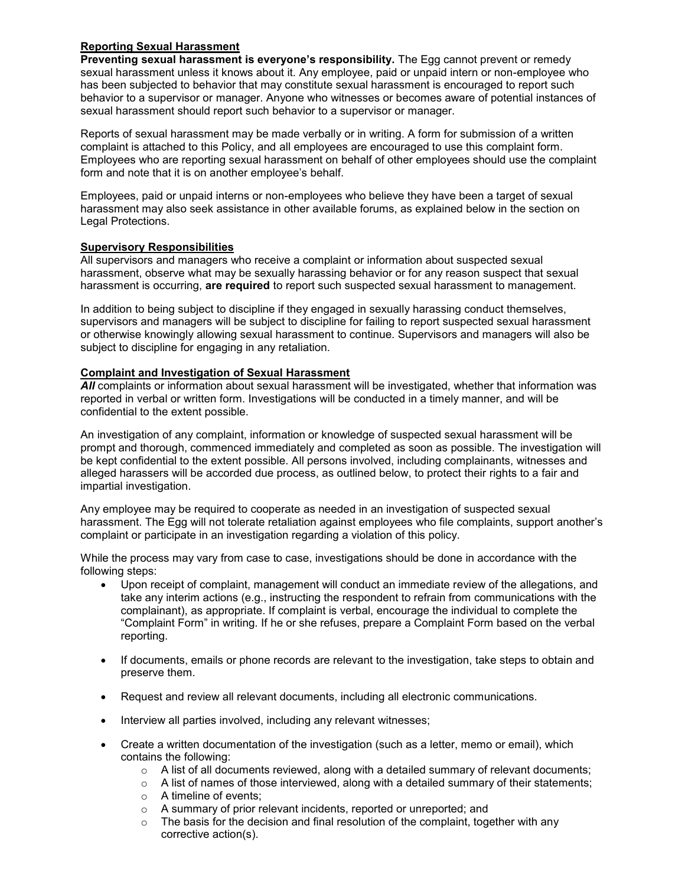## **Reporting Sexual Harassment**

**Preventing sexual harassment is everyone's responsibility.** The Egg cannot prevent or remedy sexual harassment unless it knows about it. Any employee, paid or unpaid intern or non-employee who has been subjected to behavior that may constitute sexual harassment is encouraged to report such behavior to a supervisor or manager. Anyone who witnesses or becomes aware of potential instances of sexual harassment should report such behavior to a supervisor or manager.

Reports of sexual harassment may be made verbally or in writing. A form for submission of a written complaint is attached to this Policy, and all employees are encouraged to use this complaint form. Employees who are reporting sexual harassment on behalf of other employees should use the complaint form and note that it is on another employee's behalf.

Employees, paid or unpaid interns or non-employees who believe they have been a target of sexual harassment may also seek assistance in other available forums, as explained below in the section on Legal Protections.

## **Supervisory Responsibilities**

All supervisors and managers who receive a complaint or information about suspected sexual harassment, observe what may be sexually harassing behavior or for any reason suspect that sexual harassment is occurring, **are required** to report such suspected sexual harassment to management.

In addition to being subject to discipline if they engaged in sexually harassing conduct themselves, supervisors and managers will be subject to discipline for failing to report suspected sexual harassment or otherwise knowingly allowing sexual harassment to continue. Supervisors and managers will also be subject to discipline for engaging in any retaliation.

## **Complaint and Investigation of Sexual Harassment**

All complaints or information about sexual harassment will be investigated, whether that information was reported in verbal or written form. Investigations will be conducted in a timely manner, and will be confidential to the extent possible.

An investigation of any complaint, information or knowledge of suspected sexual harassment will be prompt and thorough, commenced immediately and completed as soon as possible. The investigation will be kept confidential to the extent possible. All persons involved, including complainants, witnesses and alleged harassers will be accorded due process, as outlined below, to protect their rights to a fair and impartial investigation.

Any employee may be required to cooperate as needed in an investigation of suspected sexual harassment. The Egg will not tolerate retaliation against employees who file complaints, support another's complaint or participate in an investigation regarding a violation of this policy.

While the process may vary from case to case, investigations should be done in accordance with the following steps:

- Upon receipt of complaint, management will conduct an immediate review of the allegations, and take any interim actions (e.g., instructing the respondent to refrain from communications with the complainant), as appropriate. If complaint is verbal, encourage the individual to complete the "Complaint Form" in writing. If he or she refuses, prepare a Complaint Form based on the verbal reporting.
- If documents, emails or phone records are relevant to the investigation, take steps to obtain and preserve them.
- Request and review all relevant documents, including all electronic communications.
- Interview all parties involved, including any relevant witnesses;
- Create a written documentation of the investigation (such as a letter, memo or email), which contains the following:
	- $\circ$  A list of all documents reviewed, along with a detailed summary of relevant documents;
	- $\circ$  A list of names of those interviewed, along with a detailed summary of their statements;
	- o A timeline of events;
	- o A summary of prior relevant incidents, reported or unreported; and
	- $\circ$  The basis for the decision and final resolution of the complaint, together with any corrective action(s).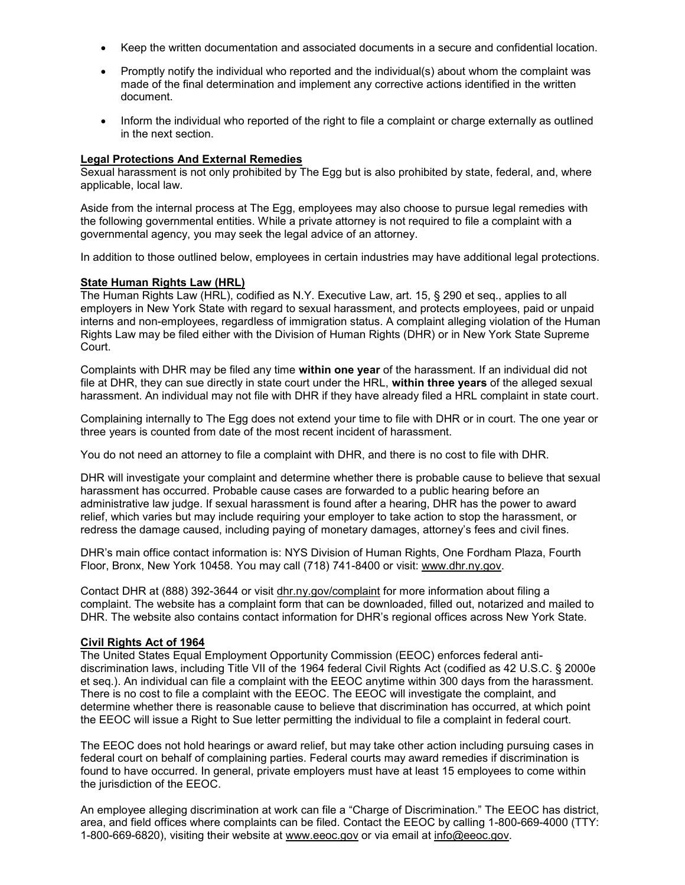- Keep the written documentation and associated documents in a secure and confidential location.
- Promptly notify the individual who reported and the individual(s) about whom the complaint was made of the final determination and implement any corrective actions identified in the written document.
- Inform the individual who reported of the right to file a complaint or charge externally as outlined in the next section.

## **Legal Protections And External Remedies**

Sexual harassment is not only prohibited by The Egg but is also prohibited by state, federal, and, where applicable, local law.

Aside from the internal process at The Egg, employees may also choose to pursue legal remedies with the following governmental entities. While a private attorney is not required to file a complaint with a governmental agency, you may seek the legal advice of an attorney.

In addition to those outlined below, employees in certain industries may have additional legal protections.

### **State Human Rights Law (HRL)**

The Human Rights Law (HRL), codified as N.Y. Executive Law, art. 15, § 290 et seq., applies to all employers in New York State with regard to sexual harassment, and protects employees, paid or unpaid interns and non-employees, regardless of immigration status. A complaint alleging violation of the Human Rights Law may be filed either with the Division of Human Rights (DHR) or in New York State Supreme Court.

Complaints with DHR may be filed any time **within one year** of the harassment. If an individual did not file at DHR, they can sue directly in state court under the HRL, **within three years** of the alleged sexual harassment. An individual may not file with DHR if they have already filed a HRL complaint in state court.

Complaining internally to The Egg does not extend your time to file with DHR or in court. The one year or three years is counted from date of the most recent incident of harassment.

You do not need an attorney to file a complaint with DHR, and there is no cost to file with DHR.

DHR will investigate your complaint and determine whether there is probable cause to believe that sexual harassment has occurred. Probable cause cases are forwarded to a public hearing before an administrative law judge. If sexual harassment is found after a hearing, DHR has the power to award relief, which varies but may include requiring your employer to take action to stop the harassment, or redress the damage caused, including paying of monetary damages, attorney's fees and civil fines.

DHR's main office contact information is: NYS Division of Human Rights, One Fordham Plaza, Fourth Floor, Bronx, New York 10458. You may call (718) 741-8400 or visit: [www.dhr.ny.gov.](http://www.dhr.ny.gov/)

Contact DHR at (888) 392-3644 or visit [dhr.ny.gov/complaint](https://dhr.ny.gov/complaint) for more information about filing a complaint. The website has a complaint form that can be downloaded, filled out, notarized and mailed to DHR. The website also contains contact information for DHR's regional offices across New York State.

### **Civil Rights Act of 1964**

The United States Equal Employment Opportunity Commission (EEOC) enforces federal antidiscrimination laws, including Title VII of the 1964 federal Civil Rights Act (codified as 42 U.S.C. § 2000e et seq.). An individual can file a complaint with the EEOC anytime within 300 days from the harassment. There is no cost to file a complaint with the EEOC. The EEOC will investigate the complaint, and determine whether there is reasonable cause to believe that discrimination has occurred, at which point the EEOC will issue a Right to Sue letter permitting the individual to file a complaint in federal court.

The EEOC does not hold hearings or award relief, but may take other action including pursuing cases in federal court on behalf of complaining parties. Federal courts may award remedies if discrimination is found to have occurred. In general, private employers must have at least 15 employees to come within the jurisdiction of the EEOC.

An employee alleging discrimination at work can file a "Charge of Discrimination." The EEOC has district, area, and field offices where complaints can be filed. Contact the EEOC by calling 1-800-669-4000 (TTY: 1-800-669-6820), visiting their website at [www.eeoc.gov](http://www.eeoc.gov/) or via email at [info@eeoc.gov.](mailto:info@eeoc.gov)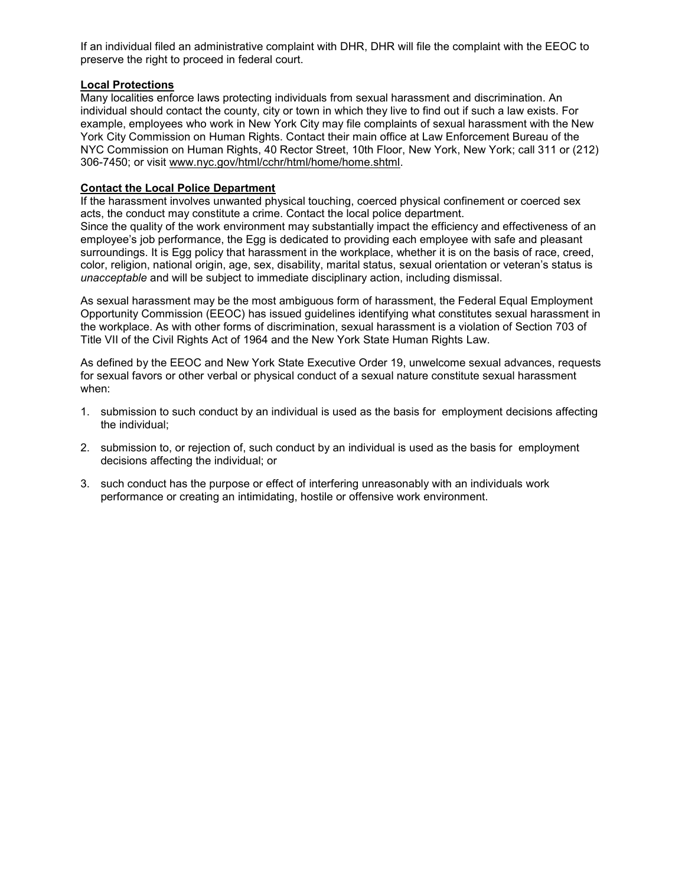If an individual filed an administrative complaint with DHR, DHR will file the complaint with the EEOC to preserve the right to proceed in federal court.

## **Local Protections**

Many localities enforce laws protecting individuals from sexual harassment and discrimination. An individual should contact the county, city or town in which they live to find out if such a law exists. For example, employees who work in New York City may file complaints of sexual harassment with the New York City Commission on Human Rights. Contact their main office at Law Enforcement Bureau of the NYC Commission on Human Rights, 40 Rector Street, 10th Floor, New York, New York; call 311 or (212) 306-7450; or visit [www.nyc.gov/html/cchr/html/home/home.shtml.](http://www.nyc.gov/html/cchr/html/home/home.shtml)

## **Contact the Local Police Department**

If the harassment involves unwanted physical touching, coerced physical confinement or coerced sex acts, the conduct may constitute a crime. Contact the local police department.

Since the quality of the work environment may substantially impact the efficiency and effectiveness of an employee's job performance, the Egg is dedicated to providing each employee with safe and pleasant surroundings. It is Egg policy that harassment in the workplace, whether it is on the basis of race, creed, color, religion, national origin, age, sex, disability, marital status, sexual orientation or veteran's status is *unacceptable* and will be subject to immediate disciplinary action, including dismissal.

As sexual harassment may be the most ambiguous form of harassment, the Federal Equal Employment Opportunity Commission (EEOC) has issued guidelines identifying what constitutes sexual harassment in the workplace. As with other forms of discrimination, sexual harassment is a violation of Section 703 of Title VII of the Civil Rights Act of 1964 and the New York State Human Rights Law.

As defined by the EEOC and New York State Executive Order 19, unwelcome sexual advances, requests for sexual favors or other verbal or physical conduct of a sexual nature constitute sexual harassment when:

- 1. submission to such conduct by an individual is used as the basis for employment decisions affecting the individual;
- 2. submission to, or rejection of, such conduct by an individual is used as the basis for employment decisions affecting the individual; or
- 3. such conduct has the purpose or effect of interfering unreasonably with an individuals work performance or creating an intimidating, hostile or offensive work environment.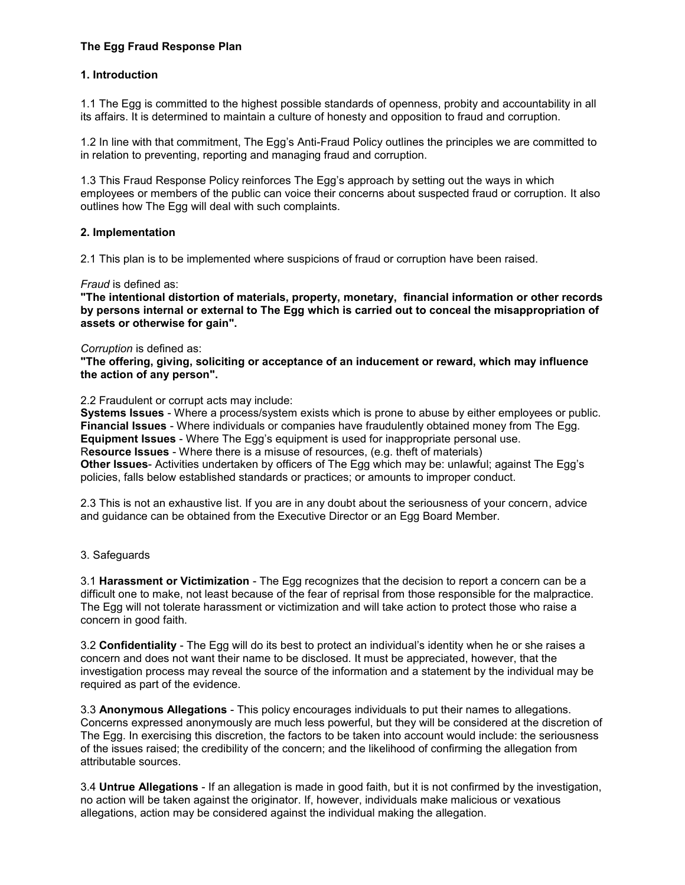# **The Egg Fraud Response Plan**

## **1. Introduction**

1.1 The Egg is committed to the highest possible standards of openness, probity and accountability in all its affairs. It is determined to maintain a culture of honesty and opposition to fraud and corruption.

1.2 In line with that commitment, The Egg's Anti-Fraud Policy outlines the principles we are committed to in relation to preventing, reporting and managing fraud and corruption.

1.3 This Fraud Response Policy reinforces The Egg's approach by setting out the ways in which employees or members of the public can voice their concerns about suspected fraud or corruption. It also outlines how The Egg will deal with such complaints.

### **2. Implementation**

2.1 This plan is to be implemented where suspicions of fraud or corruption have been raised.

#### *Fraud* is defined as:

**"The intentional distortion of materials, property, monetary, financial information or other records by persons internal or external to The Egg which is carried out to conceal the misappropriation of assets or otherwise for gain".**

#### *Corruption* is defined as:

**"The offering, giving, soliciting or acceptance of an inducement or reward, which may influence the action of any person".**

#### 2.2 Fraudulent or corrupt acts may include:

**Systems Issues** - Where a process/system exists which is prone to abuse by either employees or public. **Financial Issues** - Where individuals or companies have fraudulently obtained money from The Egg. **Equipment Issues** - Where The Egg's equipment is used for inappropriate personal use. R**esource Issues** - Where there is a misuse of resources, (e.g. theft of materials) **Other Issues**- Activities undertaken by officers of The Egg which may be: unlawful; against The Egg's policies, falls below established standards or practices; or amounts to improper conduct.

2.3 This is not an exhaustive list. If you are in any doubt about the seriousness of your concern, advice and guidance can be obtained from the Executive Director or an Egg Board Member.

### 3. Safeguards

3.1 **Harassment or Victimization** - The Egg recognizes that the decision to report a concern can be a difficult one to make, not least because of the fear of reprisal from those responsible for the malpractice. The Egg will not tolerate harassment or victimization and will take action to protect those who raise a concern in good faith.

3.2 **Confidentiality** - The Egg will do its best to protect an individual's identity when he or she raises a concern and does not want their name to be disclosed. It must be appreciated, however, that the investigation process may reveal the source of the information and a statement by the individual may be required as part of the evidence.

3.3 **Anonymous Allegations** - This policy encourages individuals to put their names to allegations. Concerns expressed anonymously are much less powerful, but they will be considered at the discretion of The Egg. In exercising this discretion, the factors to be taken into account would include: the seriousness of the issues raised; the credibility of the concern; and the likelihood of confirming the allegation from attributable sources.

3.4 **Untrue Allegations** - If an allegation is made in good faith, but it is not confirmed by the investigation, no action will be taken against the originator. If, however, individuals make malicious or vexatious allegations, action may be considered against the individual making the allegation.